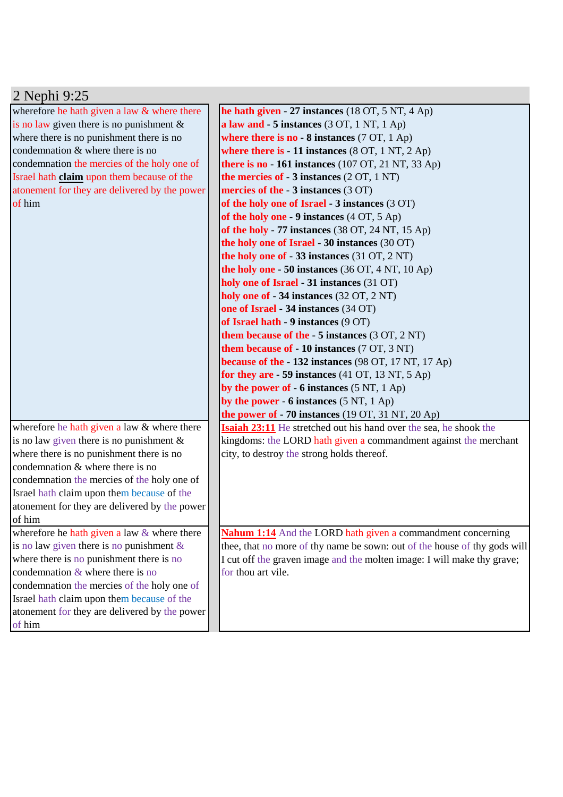| 2 Nephi 9:25                                      |                                                                              |
|---------------------------------------------------|------------------------------------------------------------------------------|
| wherefore he hath given a law & where there       | he hath given - 27 instances (18 OT, 5 NT, 4 Ap)                             |
| is no law given there is no punishment $\&$       | a law and - 5 instances (3 OT, 1 NT, 1 Ap)                                   |
| where there is no punishment there is no          | where there is no $-8$ instances (7 OT, 1 Ap)                                |
| condemnation & where there is no                  | where there is $-11$ instances $(8 \text{ OT}, 1 \text{ NT}, 2 \text{ Ap})$  |
| condemnation the mercies of the holy one of       | there is no - 161 instances $(107 \text{ OT}, 21 \text{ NT}, 33 \text{ Ap})$ |
| Israel hath <b>claim</b> upon them because of the | the mercies of $-3$ instances $(2 OT, 1 NT)$                                 |
| atonement for they are delivered by the power     | mercies of the $-3$ instances (3 OT)                                         |
| of him                                            | of the holy one of Israel - 3 instances (3 OT)                               |
|                                                   | of the holy one - 9 instances $(4 OT, 5 Ap)$                                 |
|                                                   | of the holy - 77 instances $(38 \text{ OT}, 24 \text{ NT}, 15 \text{ Ap})$   |
|                                                   | the holy one of Israel - 30 instances (30 OT)                                |
|                                                   | the holy one of - 33 instances (31 OT, 2 NT)                                 |
|                                                   | the holy one $-50$ instances (36 OT, 4 NT, 10 Ap)                            |
|                                                   | holy one of Israel - 31 instances (31 OT)                                    |
|                                                   | holy one of - 34 instances (32 OT, 2 NT)                                     |
|                                                   | one of Israel - 34 instances (34 OT)                                         |
|                                                   | of Israel hath - 9 instances (9 OT)                                          |
|                                                   | them because of the $-5$ instances $(3 OT, 2 NT)$                            |
|                                                   | <b>them because of - 10 instances</b> (7 OT, 3 NT)                           |
|                                                   | because of the - 132 instances (98 OT, 17 NT, 17 Ap)                         |
|                                                   | for they are $-59$ instances (41 OT, 13 NT, 5 Ap)                            |
|                                                   | by the power of $-6$ instances $(5 \text{ NT}, 1 \text{ Ap})$                |
|                                                   | by the power - 6 instances $(5 \text{ NT}, 1 \text{ Ap})$                    |
|                                                   | the power of $-70$ instances (19 OT, 31 NT, 20 Ap)                           |
| wherefore he hath given a law & where there       | <b>Isaiah 23:11</b> He stretched out his hand over the sea, he shook the     |
| is no law given there is no punishment $\&$       | kingdoms: the LORD hath given a commandment against the merchant             |
| where there is no punishment there is no          | city, to destroy the strong holds thereof.                                   |
| condemnation & where there is no                  |                                                                              |
| condemnation the mercies of the holy one of       |                                                                              |
| Israel hath claim upon them because of the        |                                                                              |
| atonement for they are delivered by the power     |                                                                              |
| of him                                            |                                                                              |
| wherefore he hath given a law $&$ where there     | <b>Nahum 1:14</b> And the LORD hath given a commandment concerning           |
| is no law given there is no punishment $\&$       | thee, that no more of thy name be sown: out of the house of thy gods will    |
| where there is no punishment there is no          | I cut off the graven image and the molten image: I will make thy grave;      |
| condemnation $&$ where there is no                | for thou art vile.                                                           |
| condemnation the mercies of the holy one of       |                                                                              |
| Israel hath claim upon them because of the        |                                                                              |
| atonement for they are delivered by the power     |                                                                              |
| of him                                            |                                                                              |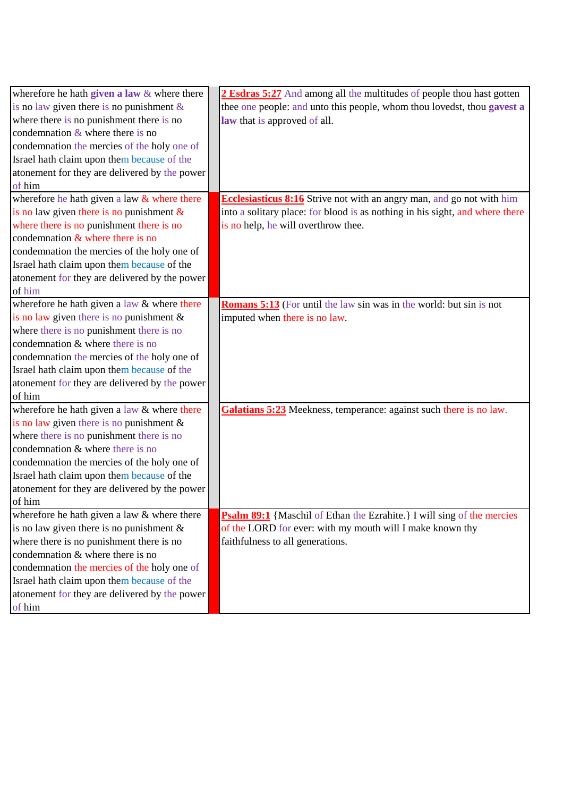| wherefore he hath given a law $&$ where there | 2 Esdras 5:27 And among all the multitudes of people thou hast gotten         |
|-----------------------------------------------|-------------------------------------------------------------------------------|
| is no law given there is no punishment $\&$   | thee one people: and unto this people, whom thou lovedst, thou gavest a       |
| where there is no punishment there is no      | law that is approved of all.                                                  |
| condemnation $&$ where there is no            |                                                                               |
| condemnation the mercies of the holy one of   |                                                                               |
| Israel hath claim upon them because of the    |                                                                               |
| atonement for they are delivered by the power |                                                                               |
| of him                                        |                                                                               |
| wherefore he hath given a law $&$ where there | <b>Ecclesiasticus 8:16</b> Strive not with an angry man, and go not with him  |
| is no law given there is no punishment $\&$   | into a solitary place: for blood is as nothing in his sight, and where there  |
| where there is no punishment there is no      | is no help, he will overthrow thee.                                           |
| condemnation $\&$ where there is no           |                                                                               |
| condemnation the mercies of the holy one of   |                                                                               |
| Israel hath claim upon them because of the    |                                                                               |
| atonement for they are delivered by the power |                                                                               |
| of him                                        |                                                                               |
| wherefore he hath given a law & where there   | <b>Romans 5:13</b> (For until the law sin was in the world: but sin is not    |
| is no law given there is no punishment $\&$   | imputed when there is no law.                                                 |
| where there is no punishment there is no      |                                                                               |
| condemnation & where there is no              |                                                                               |
| condemnation the mercies of the holy one of   |                                                                               |
| Israel hath claim upon them because of the    |                                                                               |
| atonement for they are delivered by the power |                                                                               |
| of him                                        |                                                                               |
| wherefore he hath given a law & where there   | Galatians 5:23 Meekness, temperance: against such there is no law.            |
| is no law given there is no punishment $\&$   |                                                                               |
| where there is no punishment there is no      |                                                                               |
| condemnation & where there is no              |                                                                               |
| condemnation the mercies of the holy one of   |                                                                               |
| Israel hath claim upon them because of the    |                                                                               |
| atonement for they are delivered by the power |                                                                               |
| of him                                        |                                                                               |
| wherefore he hath given a law $&$ where there | <b>Psalm 89:1</b> {Maschil of Ethan the Ezrahite.} I will sing of the mercies |
| is no law given there is no punishment $\&$   | of the LORD for ever: with my mouth will I make known thy                     |
| where there is no punishment there is no      | faithfulness to all generations.                                              |
| condemnation & where there is no              |                                                                               |
| condemnation the mercies of the holy one of   |                                                                               |
| Israel hath claim upon them because of the    |                                                                               |
| atonement for they are delivered by the power |                                                                               |
| of him                                        |                                                                               |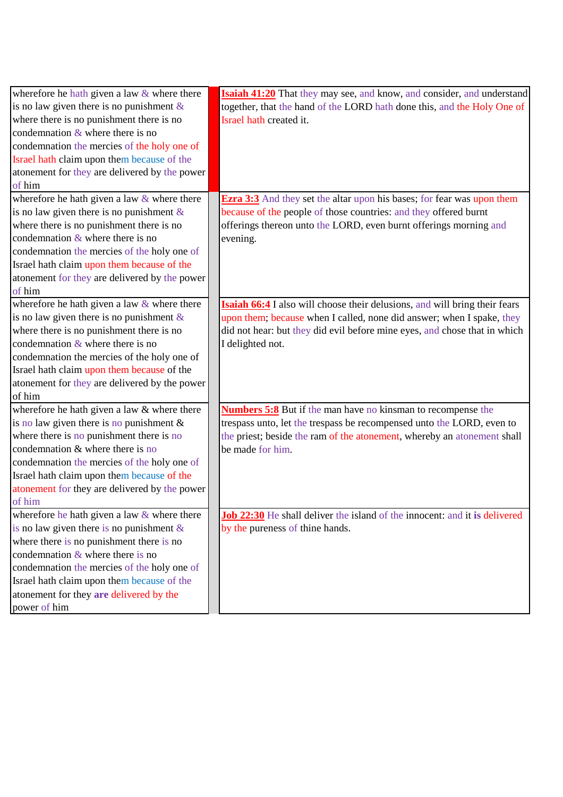| wherefore he hath given a law $&$ where there | <b>Isaiah 41:20</b> That they may see, and know, and consider, and understand     |
|-----------------------------------------------|-----------------------------------------------------------------------------------|
| is no law given there is no punishment $\&$   | together, that the hand of the LORD hath done this, and the Holy One of           |
| where there is no punishment there is no      | Israel hath created it.                                                           |
| condemnation $&$ where there is no            |                                                                                   |
| condemnation the mercies of the holy one of   |                                                                                   |
| Israel hath claim upon them because of the    |                                                                                   |
| atonement for they are delivered by the power |                                                                                   |
| of him                                        |                                                                                   |
| wherefore he hath given a law & where there   | <b>Ezra 3:3</b> And they set the altar upon his bases; for fear was upon them     |
| is no law given there is no punishment $\&$   | because of the people of those countries: and they offered burnt                  |
| where there is no punishment there is no      | offerings thereon unto the LORD, even burnt offerings morning and                 |
| condemnation $&$ where there is no            | evening.                                                                          |
| condemnation the mercies of the holy one of   |                                                                                   |
| Israel hath claim upon them because of the    |                                                                                   |
| atonement for they are delivered by the power |                                                                                   |
| of him                                        |                                                                                   |
| wherefore he hath given a law $&$ where there | <b>Isaiah 66:4</b> I also will choose their delusions, and will bring their fears |
| is no law given there is no punishment $\&$   | upon them; because when I called, none did answer; when I spake, they             |
| where there is no punishment there is no      | did not hear: but they did evil before mine eyes, and chose that in which         |
| condemnation $&$ where there is no            | I delighted not.                                                                  |
| condemnation the mercies of the holy one of   |                                                                                   |
| Israel hath claim upon them because of the    |                                                                                   |
| atonement for they are delivered by the power |                                                                                   |
| of him                                        |                                                                                   |
| wherefore he hath given a law & where there   | <b>Numbers 5:8</b> But if the man have no kinsman to recompense the               |
| is no law given there is no punishment $\&$   | trespass unto, let the trespass be recompensed unto the LORD, even to             |
| where there is no punishment there is no      | the priest; beside the ram of the atonement, whereby an atonement shall           |
| condemnation & where there is no              | be made for him.                                                                  |
| condemnation the mercies of the holy one of   |                                                                                   |
| Israel hath claim upon them because of the    |                                                                                   |
| atonement for they are delivered by the power |                                                                                   |
| of him                                        |                                                                                   |
| wherefore he hath given a law $&$ where there | <b>Job 22:30</b> He shall deliver the island of the innocent: and it is delivered |
| is no law given there is no punishment $\&$   | by the pureness of thine hands.                                                   |
| where there is no punishment there is no      |                                                                                   |
| condemnation $&$ where there is no            |                                                                                   |
| condemnation the mercies of the holy one of   |                                                                                   |
| Israel hath claim upon them because of the    |                                                                                   |
| atonement for they are delivered by the       |                                                                                   |
| power of him                                  |                                                                                   |